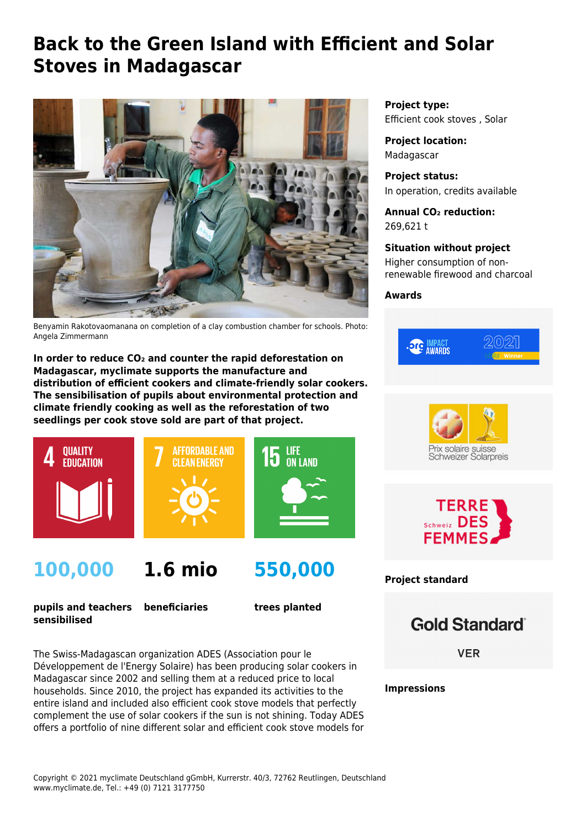# **Back to the Green Island with Efficient and Solar Stoves in Madagascar**



Benyamin Rakotovaomanana on completion of a clay combustion chamber for schools. Photo: Angela Zimmermann

**In order to reduce CO₂ and counter the rapid deforestation on Madagascar, myclimate supports the manufacture and distribution of efficient cookers and climate-friendly solar cookers. The sensibilisation of pupils about environmental protection and climate friendly cooking as well as the reforestation of two seedlings per cook stove sold are part of that project.**



# **100,000**



**pupils and teachers sensibilised beneficiaries**

**trees planted**

**550,000**

The Swiss-Madagascan organization [ADES](http://www.ades-solaire.org/en/) (Association pour le Développement de l'Energy Solaire) has been producing solar cookers in Madagascar since 2002 and selling them at a reduced price to local households. Since 2010, the project has expanded its activities to the entire island and included also efficient cook stove models that perfectly complement the use of solar cookers if the sun is not shining. Today ADES offers a portfolio of nine different solar and efficient cook stove models for **Project type:** Efficient cook stoves , Solar

**Project location:** Madagascar

**Project status:** In operation, credits available

**Annual CO₂ reduction:** 269,621 t

**Situation without project** Higher consumption of nonrenewable firewood and charcoal

**Awards**







**Project standard**

**Gold Standard**®

**VER** 

**Impressions**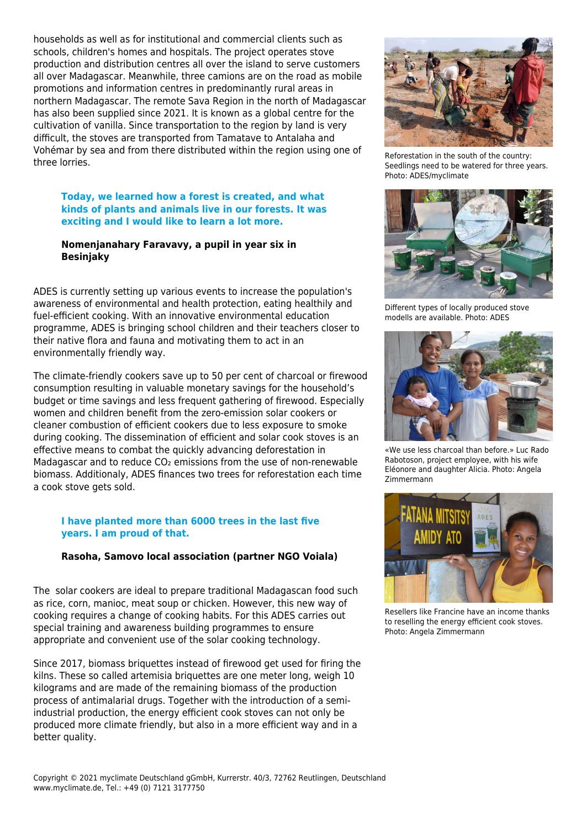households as well as for institutional and commercial clients such as schools, children's homes and hospitals. The project operates stove production and distribution centres all over the island to serve customers all over Madagascar. Meanwhile, three camions are on the road as mobile promotions and information centres in predominantly rural areas in northern Madagascar. The remote Sava Region in the north of Madagascar has also been supplied since 2021. It is known as a global centre for the cultivation of vanilla. Since transportation to the region by land is very difficult, the stoves are transported from Tamatave to Antalaha and Vohémar by sea and from there distributed within the region using one of three lorries.

#### **Today, we learned how a forest is created, and what kinds of plants and animals live in our forests. It was exciting and I would like to learn a lot more.**

#### **Nomenjanahary Faravavy, a pupil in year six in Besinjaky**

ADES is currently setting up various events to increase the population's awareness of environmental and health protection, eating healthily and fuel-efficient cooking. With an innovative environmental education programme, ADES is bringing school children and their teachers closer to their native flora and fauna and motivating them to act in an environmentally friendly way.

The climate-friendly cookers save up to 50 per cent of charcoal or firewood consumption resulting in valuable monetary savings for the household's budget or time savings and less frequent gathering of firewood. Especially women and children benefit from the zero-emission solar cookers or cleaner combustion of efficient cookers due to less exposure to smoke during cooking. The dissemination of efficient and solar cook stoves is an effective means to combat the quickly advancing deforestation in Madagascar and to reduce CO<sub>2</sub> emissions from the use of non-renewable biomass. Additionaly, ADES finances two trees for reforestation each time a cook stove gets sold.

### **I have planted more than 6000 trees in the last five years. I am proud of that.**

### **Rasoha, Samovo local association (partner NGO Voiala)**

The solar cookers are ideal to prepare traditional Madagascan food such as rice, corn, manioc, meat soup or chicken. However, this new way of cooking requires a change of cooking habits. For this ADES carries out special training and awareness building programmes to ensure appropriate and convenient use of the solar cooking technology.

Since 2017, biomass briquettes instead of firewood get used for firing the kilns. These so called artemisia briquettes are one meter long, weigh 10 kilograms and are made of the remaining biomass of the production process of antimalarial drugs. Together with the introduction of a semiindustrial production, the energy efficient cook stoves can not only be produced more climate friendly, but also in a more efficient way and in a better quality.



Reforestation in the south of the country: Seedlings need to be watered for three years. Photo: ADES/myclimate



Different types of locally produced stove modells are available. Photo: ADES



«We use less charcoal than before.» Luc Rado Rabotoson, project employee, with his wife Eléonore and daughter Alicia. Photo: Angela Zimmermann



Resellers like Francine have an income thanks to reselling the energy efficient cook stoves. Photo: Angela Zimmermann